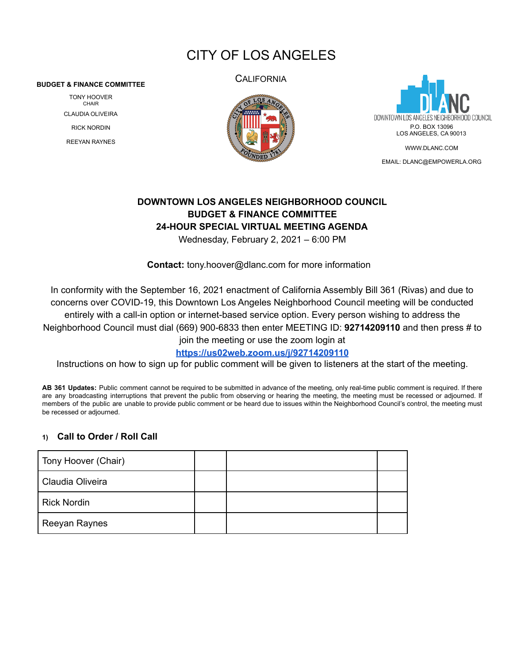# CITY OF LOS ANGELES

#### **BUDGET & FINANCE COMMITTEE**

TONY HOOVER CHAIR CLAUDIA OLIVEIRA RICK NORDIN REEYAN RAYNES

**CALIFORNIA** 





EMAIL: [DLANC@EMPOWERLA.ORG](mailto:DLANC@EMPOWERLA.ORG)

# **DOWNTOWN LOS ANGELES NEIGHBORHOOD COUNCIL BUDGET & FINANCE COMMITTEE 24-HOUR SPECIAL VIRTUAL MEETING AGENDA**

Wednesday, February 2, 2021 – 6:00 PM

**Contact:** [tony.hoover@dlanc.com](mailto:tony.hooveri@dlanc.com) for more information

In conformity with the September 16, 2021 enactment of California Assembly Bill 361 (Rivas) and due to concerns over COVID-19, this Downtown Los Angeles Neighborhood Council meeting will be conducted entirely with a call-in option or internet-based service option. Every person wishing to address the Neighborhood Council must dial (669) 900-6833 then enter MEETING ID: **92714209110** and then press # to

join the meeting or use the zoom login at

**<https://us02web.zoom.us/j/92714209110>**

Instructions on how to sign up for public comment will be given to listeners at the start of the meeting.

**AB 361 Updates:** Public comment cannot be required to be submitted in advance of the meeting, only real-time public comment is required. If there are any broadcasting interruptions that prevent the public from observing or hearing the meeting, the meeting must be recessed or adjourned. If members of the public are unable to provide public comment or be heard due to issues within the Neighborhood Council's control, the meeting must be recessed or adjourned.

# **1) Call to Order / Roll Call**

| Tony Hoover (Chair) |  |  |
|---------------------|--|--|
| Claudia Oliveira    |  |  |
| <b>Rick Nordin</b>  |  |  |
| Reeyan Raynes       |  |  |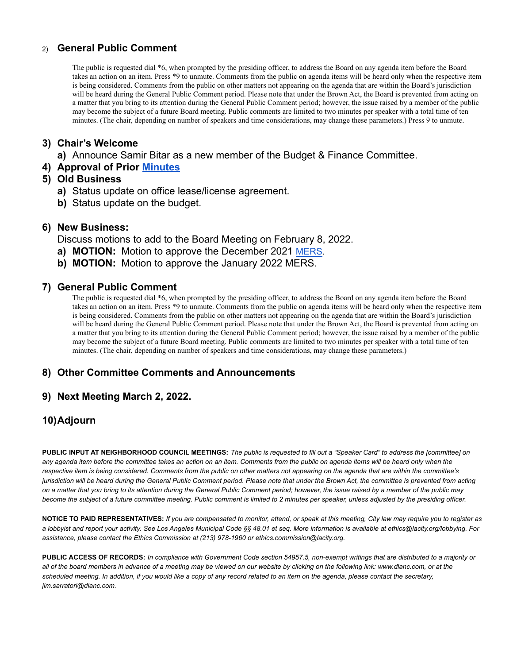# 2) **General Public Comment**

The public is requested dial \*6, when prompted by the presiding officer, to address the Board on any agenda item before the Board takes an action on an item. Press \*9 to unmute. Comments from the public on agenda items will be heard only when the respective item is being considered. Comments from the public on other matters not appearing on the agenda that are within the Board's jurisdiction will be heard during the General Public Comment period. Please note that under the Brown Act, the Board is prevented from acting on a matter that you bring to its attention during the General Public Comment period; however, the issue raised by a member of the public may become the subject of a future Board meeting. Public comments are limited to two minutes per speaker with a total time of ten minutes. (The chair, depending on number of speakers and time considerations, may change these parameters.) Press 9 to unmute.

# **3) Chair's Welcome**

**a)** Announce Samir Bitar as a new member of the Budget & Finance Committee.

**4) Approval of Prior [Minutes](https://dlanc.com/wp-content/uploads/2022/02/MIN_BUD_2021-12-08-Budget-and-Finance-Committee-Meeting-Draft-.docx.pdf)**

### **5) Old Business**

- **a)** Status update on office lease/license agreement.
- **b)** Status update on the budget.

#### **6) New Business:**

Discuss motions to add to the Board Meeting on February 8, 2022.

- **a) MOTION:** Motion to approve the December 2021 [MERS.](https://dlanc.com/wp-content/uploads/2022/02/12-21-MERS.pdf)
- **b) MOTION:** Motion to approve the January 2022 MERS.

# **7) General Public Comment**

The public is requested dial \*6, when prompted by the presiding officer, to address the Board on any agenda item before the Board takes an action on an item. Press \*9 to unmute. Comments from the public on agenda items will be heard only when the respective item is being considered. Comments from the public on other matters not appearing on the agenda that are within the Board's jurisdiction will be heard during the General Public Comment period. Please note that under the Brown Act, the Board is prevented from acting on a matter that you bring to its attention during the General Public Comment period; however, the issue raised by a member of the public may become the subject of a future Board meeting. Public comments are limited to two minutes per speaker with a total time of ten minutes. (The chair, depending on number of speakers and time considerations, may change these parameters.)

# **8) Other Committee Comments and Announcements**

# **9) Next Meeting March 2, 2022.**

# **10)Adjourn**

PUBLIC INPUT AT NEIGHBORHOOD COUNCIL MEETINGS: The public is requested to fill out a "Speaker Card" to address the [committee] on any agenda item before the committee takes an action on an item. Comments from the public on agenda items will be heard only when the respective item is being considered. Comments from the public on other matters not appearing on the agenda that are within the committee's jurisdiction will be heard during the General Public Comment period. Please note that under the Brown Act, the committee is prevented from acting on a matter that you bring to its attention during the General Public Comment period; however, the issue raised by a member of the public may become the subject of a future committee meeting. Public comment is limited to 2 minutes per speaker, unless adjusted by the presiding officer.

NOTICE TO PAID REPRESENTATIVES: If you are compensated to monitor, attend, or speak at this meeting, City law may require you to register as a lobbyist and report your activity. See Los Angeles Municipal Code §§ 48.01 et seq. More information is available at ethics@lacity.org/lobbying. For *assistance, please contact the Ethics Commission at (213) 978-1960 or ethics.commission@lacity.org.*

PUBLIC ACCESS OF RECORDS: In compliance with Government Code section 54957.5, non-exempt writings that are distributed to a majority or all of the board members in advance of a meeting may be viewed on our website by clicking on the following link: www.dlanc.com, or at the scheduled meeting. In addition, if you would like a copy of any record related to an item on the agenda, please contact the secretary, *jim.sarratori@dlanc.com.*